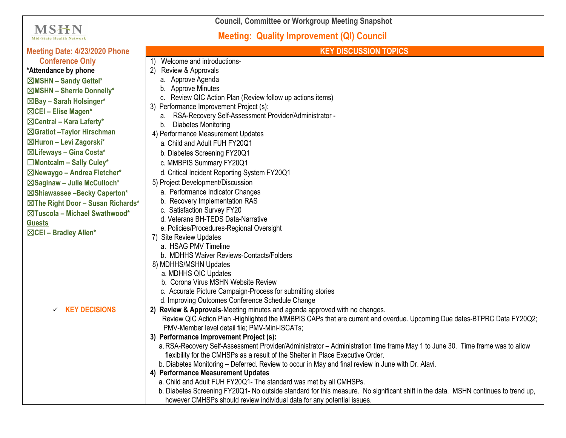**Council, Committee or Workgroup Meeting Snapshot**

**MSHN** Mid-State Health Network

## **Meeting: Quality Improvement (QI) Council**

| Meeting Date: 4/23/2020 Phone        | <b>KEY DISCUSSION TOPICS</b>                                                                                                                                                                                    |
|--------------------------------------|-----------------------------------------------------------------------------------------------------------------------------------------------------------------------------------------------------------------|
| <b>Conference Only</b>               | Welcome and introductions-                                                                                                                                                                                      |
| *Attendance by phone                 | 2)<br>Review & Approvals                                                                                                                                                                                        |
| ⊠MSHN - Sandy Gettel*                | a. Approve Agenda                                                                                                                                                                                               |
| ⊠MSHN - Sherrie Donnelly*            | b. Approve Minutes                                                                                                                                                                                              |
| ⊠Bay - Sarah Holsinger*              | c. Review QIC Action Plan (Review follow up actions items)                                                                                                                                                      |
| ⊠CEI - Elise Magen*                  | 3) Performance Improvement Project (s):                                                                                                                                                                         |
| $\boxtimes$ Central – Kara Laferty*  | a. RSA-Recovery Self-Assessment Provider/Administrator -                                                                                                                                                        |
|                                      | Diabetes Monitoring<br>b.                                                                                                                                                                                       |
| ⊠Gratiot - Taylor Hirschman          | 4) Performance Measurement Updates                                                                                                                                                                              |
| ⊠Huron - Levi Zagorski*              | a. Child and Adult FUH FY20Q1                                                                                                                                                                                   |
| ⊠Lifeways - Gina Costa*              | b. Diabetes Screening FY20Q1                                                                                                                                                                                    |
| □Montcalm - Sally Culey*             | c. MMBPIS Summary FY20Q1                                                                                                                                                                                        |
| ⊠Newaygo - Andrea Fletcher*          | d. Critical Incident Reporting System FY20Q1                                                                                                                                                                    |
| ⊠Saginaw - Julie McCulloch*          | 5) Project Development/Discussion                                                                                                                                                                               |
| ⊠Shiawassee -Becky Caperton*         | a. Performance Indicator Changes                                                                                                                                                                                |
| ⊠The Right Door - Susan Richards*    | b. Recovery Implementation RAS                                                                                                                                                                                  |
| ⊠Tuscola - Michael Swathwood*        | c. Satisfaction Survey FY20                                                                                                                                                                                     |
| <b>Guests</b>                        | d. Veterans BH-TEDS Data-Narrative<br>e. Policies/Procedures-Regional Oversight                                                                                                                                 |
| ⊠CEI - Bradley Allen*                | 7) Site Review Updates                                                                                                                                                                                          |
|                                      | a. HSAG PMV Timeline                                                                                                                                                                                            |
|                                      | b. MDHHS Waiver Reviews-Contacts/Folders                                                                                                                                                                        |
|                                      | 8) MDHHS/MSHN Updates                                                                                                                                                                                           |
|                                      | a. MDHHS QIC Updates                                                                                                                                                                                            |
|                                      | b. Corona Virus MSHN Website Review                                                                                                                                                                             |
|                                      | c. Accurate Picture Campaign-Process for submitting stories                                                                                                                                                     |
|                                      | d. Improving Outcomes Conference Schedule Change                                                                                                                                                                |
| <b>KEY DECISIONS</b><br>$\checkmark$ | 2) Review & Approvals-Meeting minutes and agenda approved with no changes.                                                                                                                                      |
|                                      | Review QIC Action Plan -Highlighted the MMBPIS CAPs that are current and overdue. Upcoming Due dates-BTPRC Data FY20Q2;                                                                                         |
|                                      | PMV-Member level detail file; PMV-Mini-ISCATs;                                                                                                                                                                  |
|                                      | 3) Performance Improvement Project (s):                                                                                                                                                                         |
|                                      | a. RSA-Recovery Self-Assessment Provider/Administrator - Administration time frame May 1 to June 30. Time frame was to allow<br>flexibility for the CMHSPs as a result of the Shelter in Place Executive Order. |
|                                      | b. Diabetes Monitoring - Deferred. Review to occur in May and final review in June with Dr. Alavi.                                                                                                              |
|                                      | 4) Performance Measurement Updates                                                                                                                                                                              |
|                                      | a. Child and Adult FUH FY20Q1- The standard was met by all CMHSPs.                                                                                                                                              |
|                                      | b. Diabetes Screening FY20Q1- No outside standard for this measure. No significant shift in the data. MSHN continues to trend up,                                                                               |
|                                      | however CMHSPs should review individual data for any potential issues.                                                                                                                                          |